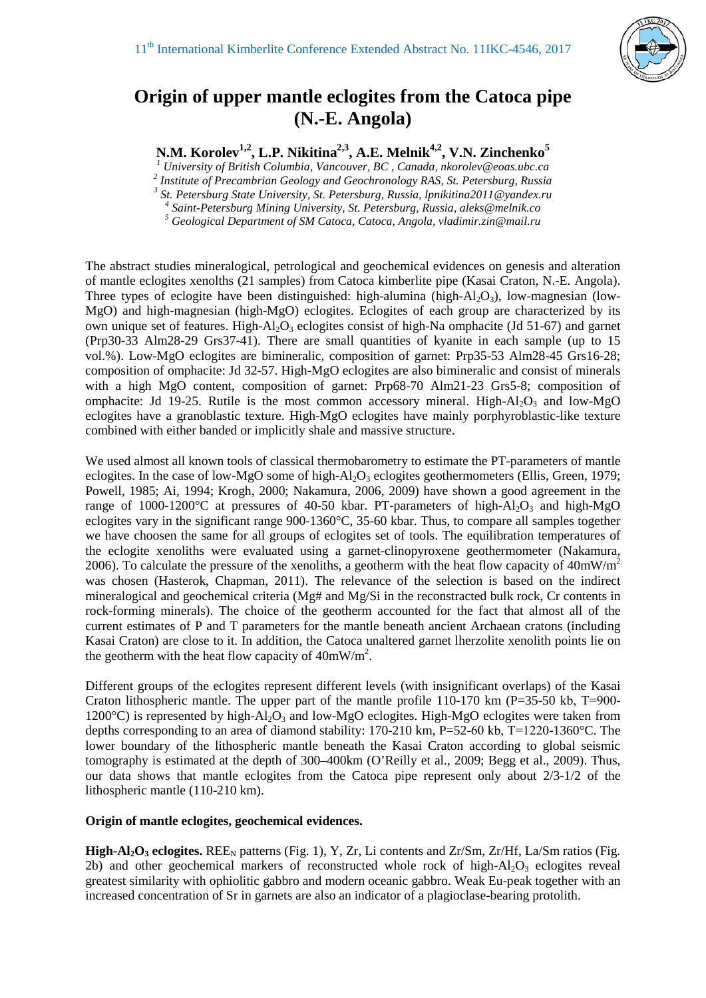

## **Origin of upper mantle eclogites from the Catoca pipe (N.-E. Angola)**

**N.M. Korolev1,2, L.P. Nikitina2,3, A.E. Melnik4,2, V.N. Zinchenko5**

<sup>1</sup> University of British Columbia, Vancouver, BC, Canada, nkorolev@eoas.ubc.ca<br>
<sup>2</sup> Institute of Precambrian Geology and Geochronology RAS, St. Petersburg, Russia<br>
<sup>3</sup> St. Petersburg State University, St. Petersburg, Rus

The abstract studies mineralogical, petrological and geochemical evidences on genesis and alteration of mantle eclogites xenolths (21 samples) from Catoca kimberlite pipe (Kasai Craton, N.-E. Angola). Three types of eclogite have been distinguished: high-alumina (high- $Al_2O_3$ ), low-magnesian (low-MgO) and high-magnesian (high-MgO) eclogites. Eclogites of each group are characterized by its own unique set of features. High-Al<sub>2</sub>O<sub>3</sub> eclogites consist of high-Na omphacite (Jd 51-67) and garnet (Prp30-33 Alm28-29 Grs37-41). There are small quantities of kyanite in each sample (up to 15 vol.%). Low-MgO eclogites are bimineralic, composition of garnet: Prp35-53 Alm28-45 Grs16-28; composition of omphacite: Jd 32-57. High-MgO eclogites are also bimineralic and consist of minerals with a high MgO content, composition of garnet: Prp68-70 Alm21-23 Grs5-8; composition of omphacite: Jd 19-25. Rutile is the most common accessory mineral. High- $Al_2O_3$  and low-MgO eclogites have a granoblastic texture. High-MgO eclogites have mainly porphyroblastic-like texture combined with either banded or implicitly shale and massive structure.

We used almost all known tools of classical thermobarometry to estimate the PT-parameters of mantle eclogites. In the case of low-MgO some of high-Al<sub>2</sub>O<sub>3</sub> eclogites geothermometers (Ellis, Green, 1979; Powell, 1985; Ai, 1994; Krogh, 2000; Nakamura, 2006, 2009) have shown a good agreement in the range of 1000-1200 $\degree$ C at pressures of 40-50 kbar. PT-parameters of high-Al<sub>2</sub>O<sub>3</sub> and high-MgO eclogites vary in the significant range 900-1360°C, 35-60 kbar. Thus, to compare all samples together we have choosen the same for all groups of eclogites set of tools. The equilibration temperatures of the eclogite xenoliths were evaluated using a garnet-clinopyroxene geothermometer (Nakamura, 2006). To calculate the pressure of the xenoliths, a geotherm with the heat flow capacity of  $40mW/m<sup>2</sup>$ was chosen (Hasterok, Chapman, 2011). The relevance of the selection is based on the indirect mineralogical and geochemical criteria (Mg# and Mg/Si in the reconstracted bulk rock, Cr contents in rock-forming minerals). The choice of the geotherm accounted for the fact that almost all of the current estimates of P and T parameters for the mantle beneath ancient Archaean cratons (including Kasai Craton) are close to it. In addition, the Catoca unaltered garnet lherzolite xenolith points lie on the geotherm with the heat flow capacity of  $40mW/m^2$ .

Different groups of the eclogites represent different levels (with insignificant overlaps) of the Kasai Craton lithospheric mantle. The upper part of the mantle profile 110-170 km (P=35-50 kb, Т=900- 1200 $^{\circ}$ C) is represented by high-Al<sub>2</sub>O<sub>3</sub> and low-MgO eclogites. High-MgO eclogites were taken from depths corresponding to an area of diamond stability: 170-210 km, P=52-60 kb, Т=1220-1360°C. The lower boundary of the lithospheric mantle beneath the Kasai Craton according to global seismic tomography is estimated at the depth of 300–400km (O'Reilly et al., 2009; Begg et al., 2009). Thus, our data shows that mantle eclogites from the Catoca pipe represent only about 2/3-1/2 of the lithospheric mantle (110-210 km).

## **Origin of mantle eclogites, geochemical evidences.**

**High-Al<sub>2</sub>O<sub>3</sub> eclogites.** REE<sub>N</sub> patterns (Fig. 1), Y, Zr, Li contents and Zr/Sm, Zr/Hf, La/Sm ratios (Fig. 2b) and other geochemical markers of reconstructed whole rock of high- $Al_2O_3$  eclogites reveal greatest similarity with ophiolitic gabbro and modern oceanic gabbro. Weak Eu-peak together with an increased concentration of Sr in garnets are also an indicator of a plagioclase-bearing protolith.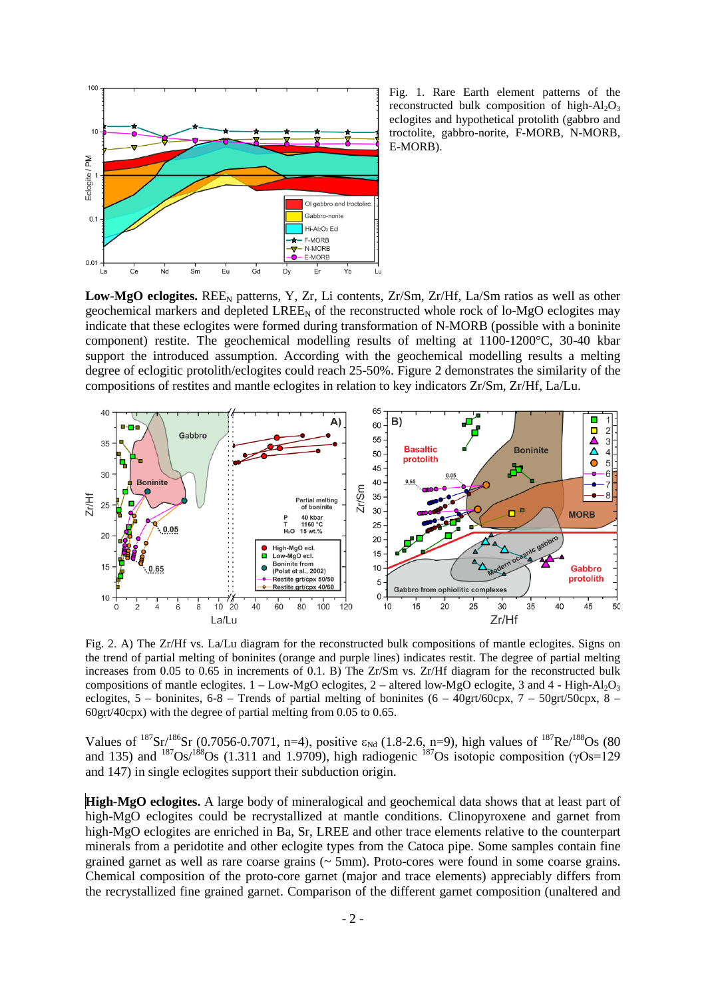

Fig. 1. Rare Earth element patterns of the reconstructed bulk composition of high- $Al_2O_3$ eclogites and hypothetical protolith (gabbro and troctolite, gabbro-norite, F-MORB, N-MORB, E-MORB).

Low-MgO eclogites. REE<sub>N</sub> patterns, Y, Zr, Li contents, Zr/Sm, Zr/Hf, La/Sm ratios as well as other geochemical markers and depleted  $LREE<sub>N</sub>$  of the reconstructed whole rock of lo-MgO eclogites may indicate that these eclogites were formed during transformation of N-MORB (possible with a boninite component) restite. The geochemical modelling results of melting at 1100-1200°C, 30-40 kbar support the introduced assumption. According with the geochemical modelling results a melting degree of eclogitic protolith/eclogites could reach 25-50%. Figure 2 demonstrates the similarity of the compositions of restites and mantle eclogites in relation to key indicators Zr/Sm, Zr/Hf, La/Lu.



Fig. 2. A) The Zr/Hf vs. La/Lu diagram for the reconstructed bulk compositions of mantle eclogites. Signs on the trend of partial melting of boninites (orange and purple lines) indicates restit. The degree of partial melting increases from 0.05 to 0.65 in increments of 0.1. B) The Zr/Sm vs. Zr/Hf diagram for the reconstructed bulk compositions of mantle eclogites.  $1 - Low-MgO$  eclogites,  $2 -$  altered low-MgO eclogite, 3 and 4 - High-Al<sub>2</sub>O<sub>3</sub> eclogites,  $5$  – boninites,  $6-8$  – Trends of partial melting of boninites  $(6 - 40gt/60 \text{cpx}, 7 - 50gt/50 \text{cpx}, 8 - 7)$ 60grt/40cpx) with the degree of partial melting from 0.05 to 0.65.

Values of  $^{187}Sr/^{186}Sr$  (0.7056-0.7071, n=4), positive  $\varepsilon_{Nd}$  (1.8-2.6, n=9), high values of  $^{187}Re/^{188}Os$  (80 and 135) and  $187\text{Os}/188\text{Os}$  (1.311 and 1.9709), high radiogenic  $187\text{Os}$  isotopic composition ( $\gamma$ Os=129 and 147) in single eclogites support their subduction origin.

**High-MgO eclogites.** A large body of mineralogical and geochemical data shows that at least part of high-MgO eclogites could be recrystallized at mantle conditions. Clinopyroxene and garnet from high-MgO eclogites are enriched in Ba, Sr, LREE and other trace elements relative to the counterpart minerals from a peridotite and other eclogite types from the Catoca pipe. Some samples contain fine grained garnet as well as rare coarse grains (~ 5mm). Proto-cores were found in some coarse grains. Chemical composition of the proto-core garnet (major and trace elements) appreciably differs from the recrystallized fine grained garnet. Comparison of the different garnet composition (unaltered and